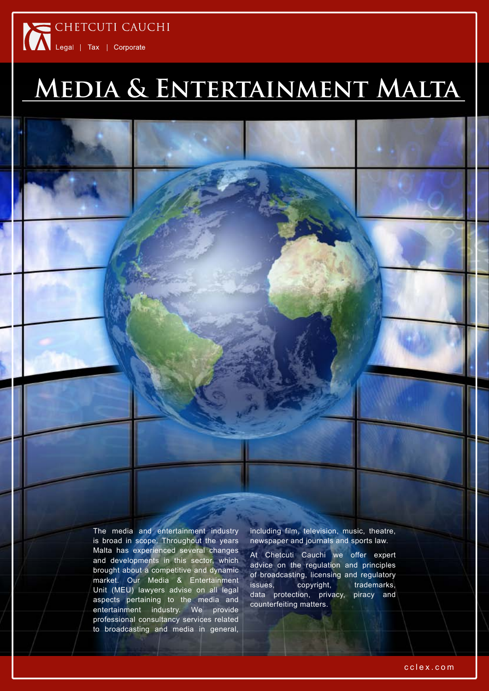# CHETCUTI CAUCHI

# **Media & Entertainment Malta**

The media and entertainment industry is broad in scope. Throughout the years Malta has experienced several changes and developments in this sector, which brought about a competitive and dynamic market. Our Media & Entertainment Unit (MEU) lawyers advise on all legal aspects pertaining to the media and entertainment industry. We provide professional consultancy services related to broadcasting and media in general,

including film, television, music, theatre, newspaper and journals and sports law.

At Chetcuti Cauchi we offer expert advice on the regulation and principles of broadcasting, licensing and regulatory issues, copyright, trademarks, data protection, privacy, piracy and counterfeiting matters.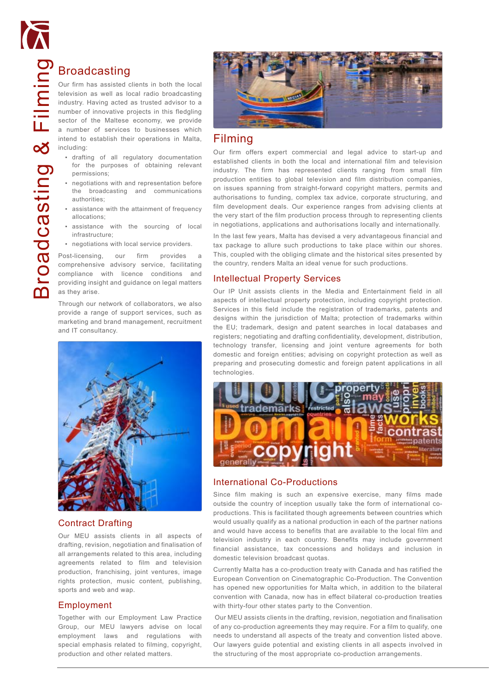

Broadcasting<br>
our firm has assisted the division as well as lot<br>
industry. Having acted<br>
number of innovative p<br>
sector of the Maltese<br>
a number of services<br>
intend to establish the<br>
including:<br>
. drafting of all reg<br>
for Our firm has assisted clients in both the local television as well as local radio broadcasting industry. Having acted as trusted advisor to a number of innovative projects in this fledgling sector of the Maltese economy, we provide a number of services to businesses which intend to establish their operations in Malta, including:

- drafting of all regulatory documentation for the purposes of obtaining relevant permissions;
- negotiations with and representation before the broadcasting and communications authorities;
- assistance with the attainment of frequency allocations;
- assistance with the sourcing of local infrastructure;
- negotiations with local service providers.

Post-licensing, our firm provides a comprehensive advisory service, facilitating compliance with licence conditions and providing insight and guidance on legal matters as they arise.

Through our network of collaborators, we also provide a range of support services, such as marketing and brand management, recruitment and IT consultancy.



#### Contract Drafting

Our MEU assists clients in all aspects of drafting, revision, negotiation and finalisation of all arrangements related to this area, including agreements related to film and television production, franchising, joint ventures, image rights protection, music content, publishing, sports and web and wap.

#### Employment

Together with our Employment Law Practice Group, our MEU lawyers advise on local employment laws and regulations with special emphasis related to filming, copyright, production and other related matters.



### Filming

Our firm offers expert commercial and legal advice to start-up and established clients in both the local and international film and television industry. The firm has represented clients ranging from small film production entities to global television and film distribution companies, on issues spanning from straight-forward copyright matters, permits and authorisations to funding, complex tax advice, corporate structuring, and film development deals. Our experience ranges from advising clients at the very start of the film production process through to representing clients in negotiations, applications and authorisations locally and internationally.

In the last few years, Malta has devised a very advantageous financial and tax package to allure such productions to take place within our shores. This, coupled with the obliging climate and the historical sites presented by the country, renders Malta an ideal venue for such productions.

#### Intellectual Property Services

Our IP Unit assists clients in the Media and Entertainment field in all aspects of intellectual property protection, including copyright protection. Services in this field include the registration of trademarks, patents and designs within the jurisdiction of Malta; protection of trademarks within the EU; trademark, design and patent searches in local databases and registers; negotiating and drafting confidentiality, development, distribution, technology transfer, licensing and joint venture agreements for both domestic and foreign entities; advising on copyright protection as well as preparing and prosecuting domestic and foreign patent applications in all technologies.



#### International Co-Productions

Since film making is such an expensive exercise, many films made outside the country of inception usually take the form of international coproductions. This is facilitated though agreements between countries which would usually qualify as a national production in each of the partner nations and would have access to benefits that are available to the local film and television industry in each country. Benefits may include government financial assistance, tax concessions and holidays and inclusion in domestic television broadcast quotas.

Currently Malta has a co-production treaty with Canada and has ratified the European Convention on Cinematographic Co-Production. The Convention has opened new opportunities for Malta which, in addition to the bilateral convention with Canada, now has in effect bilateral co-production treaties with thirty-four other states party to the Convention.

 Our MEU assists clients in the drafting, revision, negotiation and finalisation of any co-production agreements they may require. For a film to qualify, one needs to understand all aspects of the treaty and convention listed above. Our lawyers guide potential and existing clients in all aspects involved in the structuring of the most appropriate co-production arrangements.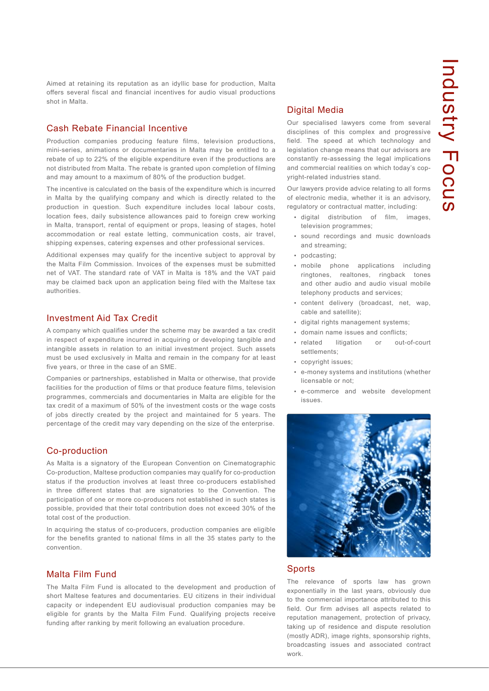Aimed at retaining its reputation as an idyllic base for production, Malta offers several fiscal and financial incentives for audio visual productions shot in Malta.

#### Cash Rebate Financial Incentive

Production companies producing feature films, television productions, mini-series, animations or documentaries in Malta may be entitled to a rebate of up to 22% of the eligible expenditure even if the productions are not distributed from Malta. The rebate is granted upon completion of filming and may amount to a maximum of 80% of the production budget.

The incentive is calculated on the basis of the expenditure which is incurred in Malta by the qualifying company and which is directly related to the production in question. Such expenditure includes local labour costs, location fees, daily subsistence allowances paid to foreign crew working in Malta, transport, rental of equipment or props, leasing of stages, hotel accommodation or real estate letting, communication costs, air travel, shipping expenses, catering expenses and other professional services.

Additional expenses may qualify for the incentive subject to approval by the Malta Film Commission. Invoices of the expenses must be submitted net of VAT. The standard rate of VAT in Malta is 18% and the VAT paid may be claimed back upon an application being filed with the Maltese tax authorities.

#### Investment Aid Tax Credit

A company which qualifies under the scheme may be awarded a tax credit in respect of expenditure incurred in acquiring or developing tangible and intangible assets in relation to an initial investment project. Such assets must be used exclusively in Malta and remain in the company for at least five years, or three in the case of an SME.

Companies or partnerships, established in Malta or otherwise, that provide facilities for the production of films or that produce feature films, television programmes, commercials and documentaries in Malta are eligible for the tax credit of a maximum of 50% of the investment costs or the wage costs of jobs directly created by the project and maintained for 5 years. The percentage of the credit may vary depending on the size of the enterprise.

#### Co-production

As Malta is a signatory of the European Convention on Cinematographic Co-production, Maltese production companies may qualify for co-production status if the production involves at least three co-producers established in three different states that are signatories to the Convention. The participation of one or more co-producers not established in such states is possible, provided that their total contribution does not exceed 30% of the total cost of the production.

In acquiring the status of co-producers, production companies are eligible for the benefits granted to national films in all the 35 states party to the convention.

#### Malta Film Fund

The Malta Film Fund is allocated to the development and production of short Maltese features and documentaries. EU citizens in their individual capacity or independent EU audiovisual production companies may be eligible for grants by the Malta Film Fund. Qualifying projects receive funding after ranking by merit following an evaluation procedure.

#### Digital Media

Our specialised lawyers come from several disciplines of this complex and progressive field. The speed at which technology and legislation change means that our advisors are constantly re-assessing the legal implications and commercial realities on which today's copyright-related industries stand.

Our lawyers provide advice relating to all forms of electronic media, whether it is an advisory, regulatory or contractual matter, including:

- digital distribution of film, images, television programmes;
- sound recordings and music downloads and streaming;
- podcasting;
- mobile phone applications including ringtones, realtones, ringback tones and other audio and audio visual mobile telephony products and services;
- content delivery (broadcast, net, wap, cable and satellite);
- digital rights management systems;
- domain name issues and conflicts;
- · related litigation or out-of-court settlements;
- copyright issues;
- e-money systems and institutions (whether licensable or not;
- e-commerce and website development issues.



#### Sports

The relevance of sports law has grown exponentially in the last years, obviously due to the commercial importance attributed to this field. Our firm advises all aspects related to reputation management, protection of privacy, taking up of residence and dispute resolution (mostly ADR), image rights, sponsorship rights, broadcasting issues and associated contract work.